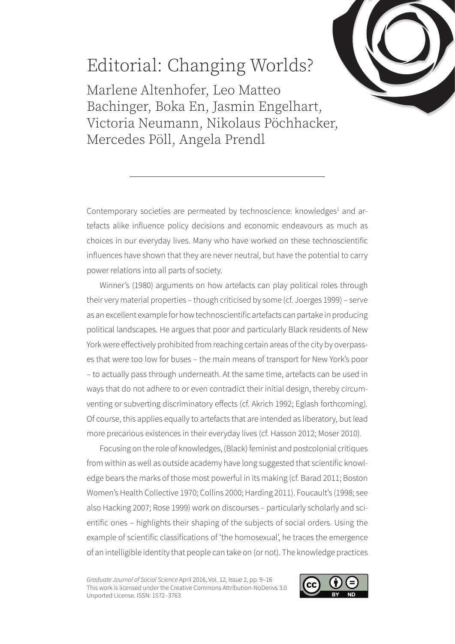

## Editorial: Changing Worlds?

Marlene Altenhofer, Leo Matteo Bachinger, Boka En, Jasmin Engelhart, Victoria Neumann, Nikolaus Pöchhacker, Mercedes Pöll, Angela Prendl

Contemporary societies are permeated by technoscience: knowledges<sup>1</sup> and artefacts alike influence policy decisions and economic endeavours as much as choices in our everyday lives. Many who have worked on these technoscientific influences have shown that they are never neutral, but have the potential to carry power relations into all parts of society.

Winner's (1980) arguments on how artefacts can play political roles through their very material properties – though criticised by some (cf. Joerges 1999) – serve as an excellent example for how technoscientific artefacts can partake in producing political landscapes. He argues that poor and particularly Black residents of New York were effectively prohibited from reaching certain areas of the city by overpasses that were too low for buses – the main means of transport for New York's poor – to actually pass through underneath. At the same time, artefacts can be used in ways that do not adhere to or even contradict their initial design, thereby circumventing or subverting discriminatory effects (cf. Akrich 1992; Eglash forthcoming). Of course, this applies equally to artefacts that are intended as liberatory, but lead more precarious existences in their everyday lives (cf. Hasson 2012; Moser 2010).

Focusing on the role of knowledges, (Black) feminist and postcolonial critiques from within as well as outside academy have long suggested that scientific knowledge bears the marks of those most powerful in its making (cf. Barad 2011; Boston Women's Health Collective 1970; Collins 2000; Harding 2011). Foucault's (1998; see also Hacking 2007; Rose 1999) work on discourses – particularly scholarly and scientific ones – highlights their shaping of the subjects of social orders. Using the example of scientific classifications of 'the homosexual', he traces the emergence of an intelligible identity that people can take on (or not). The knowledge practices

*Graduate Journal of Social Science* April 2016, Vol. 12, Issue 2, pp. 9–16 This work is licensed under the Creative Commons Attribution-NoDerivs 3.0 Unported License. ISSN: 1572–3763

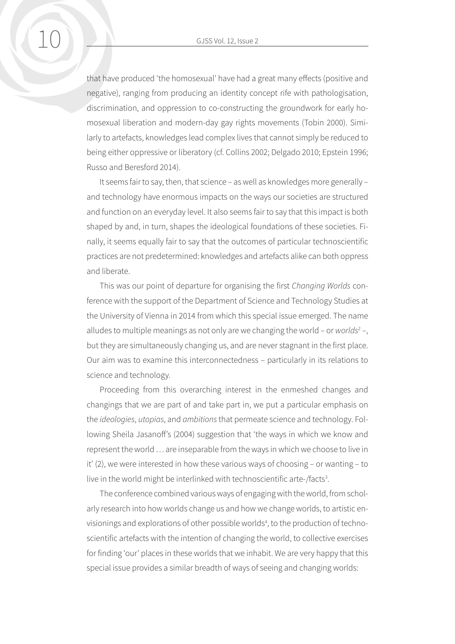that have produced 'the homosexual' have had a great many effects (positive and negative), ranging from producing an identity concept rife with pathologisation, discrimination, and oppression to co-constructing the groundwork for early homosexual liberation and modern-day gay rights movements (Tobin 2000). Similarly to artefacts, knowledges lead complex lives that cannot simply be reduced to being either oppressive or liberatory (cf. Collins 2002; Delgado 2010; Epstein 1996; Russo and Beresford 2014).

It seems fair to say, then, that science – as well as knowledges more generally – and technology have enormous impacts on the ways our societies are structured and function on an everyday level. It also seems fair to say that this impact is both shaped by and, in turn, shapes the ideological foundations of these societies. Finally, it seems equally fair to say that the outcomes of particular technoscientific practices are not predetermined: knowledges and artefacts alike can both oppress and liberate.

This was our point of departure for organising the first *Changing Worlds* conference with the support of the Department of Science and Technology Studies at the University of Vienna in 2014 from which this special issue emerged. The name alludes to multiple meanings as not only are we changing the world - or *worlds<sup>2</sup> -*, but they are simultaneously changing us, and are never stagnant in the first place. Our aim was to examine this interconnectedness – particularly in its relations to science and technology.

Proceeding from this overarching interest in the enmeshed changes and changings that we are part of and take part in, we put a particular emphasis on the *ideologies*, *utopias*, and *ambitions* that permeate science and technology. Following Sheila Jasanoff's (2004) suggestion that 'the ways in which we know and represent the world … are inseparable from the ways in which we choose to live in it' (2), we were interested in how these various ways of choosing – or wanting – to live in the world might be interlinked with technoscientific arte-/facts<sup>3</sup>.

The conference combined various ways of engaging with the world, from scholarly research into how worlds change us and how we change worlds, to artistic envisionings and explorations of other possible worlds<sup>4</sup>, to the production of technoscientific artefacts with the intention of changing the world, to collective exercises for finding 'our' places in these worlds that we inhabit. We are very happy that this special issue provides a similar breadth of ways of seeing and changing worlds: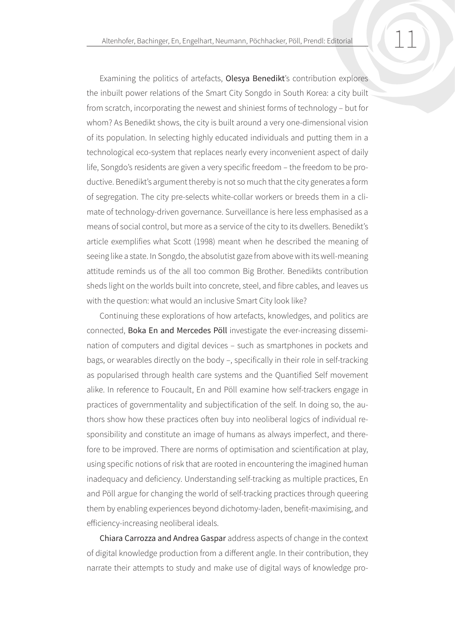Examining the politics of artefacts, Olesya Benedikt's contribution explores the inbuilt power relations of the Smart City Songdo in South Korea: a city built from scratch, incorporating the newest and shiniest forms of technology – but for whom? As Benedikt shows, the city is built around a very one-dimensional vision of its population. In selecting highly educated individuals and putting them in a technological eco-system that replaces nearly every inconvenient aspect of daily life, Songdo's residents are given a very specific freedom – the freedom to be productive. Benedikt's argument thereby is not so much that the city generates a form of segregation. The city pre-selects white-collar workers or breeds them in a climate of technology-driven governance. Surveillance is here less emphasised as a means of social control, but more as a service of the city to its dwellers. Benedikt's article exemplifies what Scott (1998) meant when he described the meaning of seeing like a state. In Songdo, the absolutist gaze from above with its well-meaning attitude reminds us of the all too common Big Brother. Benedikts contribution sheds light on the worlds built into concrete, steel, and fibre cables, and leaves us with the question: what would an inclusive Smart City look like?

Continuing these explorations of how artefacts, knowledges, and politics are connected, Boka En and Mercedes Pöll investigate the ever-increasing dissemination of computers and digital devices – such as smartphones in pockets and bags, or wearables directly on the body –, specifically in their role in self-tracking as popularised through health care systems and the Quantified Self movement alike. In reference to Foucault, En and Pöll examine how self-trackers engage in practices of governmentality and subjectification of the self. In doing so, the authors show how these practices often buy into neoliberal logics of individual responsibility and constitute an image of humans as always imperfect, and therefore to be improved. There are norms of optimisation and scientification at play, using specific notions of risk that are rooted in encountering the imagined human inadequacy and deficiency. Understanding self-tracking as multiple practices, En and Pöll argue for changing the world of self-tracking practices through queering them by enabling experiences beyond dichotomy-laden, benefit-maximising, and efficiency-increasing neoliberal ideals.

Chiara Carrozza and Andrea Gaspar address aspects of change in the context of digital knowledge production from a different angle. In their contribution, they narrate their attempts to study and make use of digital ways of knowledge pro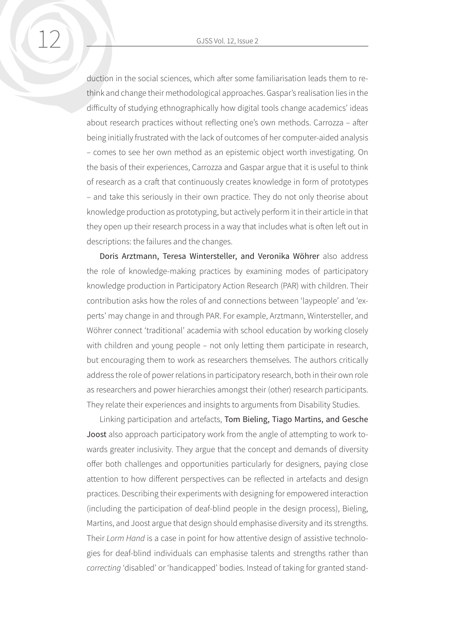duction in the social sciences, which after some familiarisation leads them to rethink and change their methodological approaches. Gaspar's realisation lies in the difficulty of studying ethnographically how digital tools change academics' ideas about research practices without reflecting one's own methods. Carrozza – after being initially frustrated with the lack of outcomes of her computer-aided analysis – comes to see her own method as an epistemic object worth investigating. On the basis of their experiences, Carrozza and Gaspar argue that it is useful to think of research as a craft that continuously creates knowledge in form of prototypes – and take this seriously in their own practice. They do not only theorise about knowledge production as prototyping, but actively perform it in their article in that they open up their research process in a way that includes what is often left out in descriptions: the failures and the changes.

Doris Arztmann, Teresa Wintersteller, and Veronika Wöhrer also address the role of knowledge-making practices by examining modes of participatory knowledge production in Participatory Action Research (PAR) with children. Their contribution asks how the roles of and connections between 'laypeople' and 'experts' may change in and through PAR. For example, Arztmann, Wintersteller, and Wöhrer connect 'traditional' academia with school education by working closely with children and young people – not only letting them participate in research, but encouraging them to work as researchers themselves. The authors critically address the role of power relations in participatory research, both in their own role as researchers and power hierarchies amongst their (other) research participants. They relate their experiences and insights to arguments from Disability Studies.

Linking participation and artefacts, Tom Bieling, Tiago Martins, and Gesche Joost also approach participatory work from the angle of attempting to work towards greater inclusivity. They argue that the concept and demands of diversity offer both challenges and opportunities particularly for designers, paying close attention to how different perspectives can be reflected in artefacts and design practices. Describing their experiments with designing for empowered interaction (including the participation of deaf-blind people in the design process), Bieling, Martins, and Joost argue that design should emphasise diversity and its strengths. Their *Lorm Hand* is a case in point for how attentive design of assistive technologies for deaf-blind individuals can emphasise talents and strengths rather than *correcting* 'disabled' or 'handicapped' bodies. Instead of taking for granted stand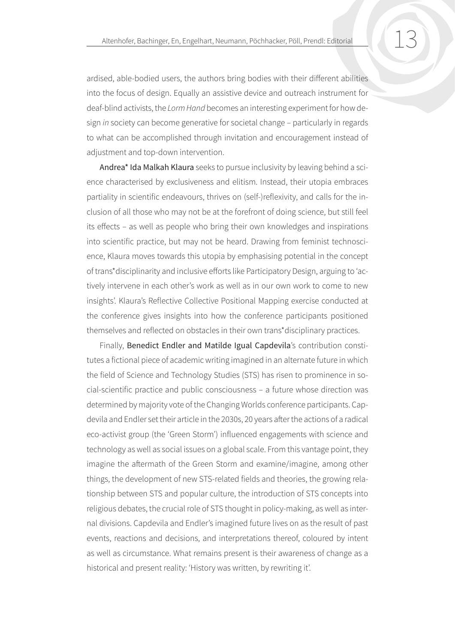ardised, able-bodied users, the authors bring bodies with their different abilities into the focus of design. Equally an assistive device and outreach instrument for deaf-blind activists, the *Lorm Hand* becomes an interesting experiment for how design *in* society can become generative for societal change – particularly in regards to what can be accomplished through invitation and encouragement instead of adjustment and top-down intervention.

Andrea\* Ida Malkah Klaura seeks to pursue inclusivity by leaving behind a science characterised by exclusiveness and elitism. Instead, their utopia embraces partiality in scientific endeavours, thrives on (self-)reflexivity, and calls for the inclusion of all those who may not be at the forefront of doing science, but still feel its effects – as well as people who bring their own knowledges and inspirations into scientific practice, but may not be heard. Drawing from feminist technoscience, Klaura moves towards this utopia by emphasising potential in the concept of trans\*disciplinarity and inclusive efforts like Participatory Design, arguing to 'actively intervene in each other's work as well as in our own work to come to new insights'. Klaura's Reflective Collective Positional Mapping exercise conducted at the conference gives insights into how the conference participants positioned themselves and reflected on obstacles in their own trans\*disciplinary practices.

Finally, Benedict Endler and Matilde Igual Capdevila's contribution constitutes a fictional piece of academic writing imagined in an alternate future in which the field of Science and Technology Studies (STS) has risen to prominence in social-scientific practice and public consciousness – a future whose direction was determined by majority vote of the Changing Worlds conference participants. Capdevila and Endler set their article in the 2030s, 20 years after the actions of a radical eco-activist group (the 'Green Storm') influenced engagements with science and technology as well as social issues on a global scale. From this vantage point, they imagine the aftermath of the Green Storm and examine/imagine, among other things, the development of new STS-related fields and theories, the growing relationship between STS and popular culture, the introduction of STS concepts into religious debates, the crucial role of STS thought in policy-making, as well as internal divisions. Capdevila and Endler's imagined future lives on as the result of past events, reactions and decisions, and interpretations thereof, coloured by intent as well as circumstance. What remains present is their awareness of change as a historical and present reality: 'History was written, by rewriting it'.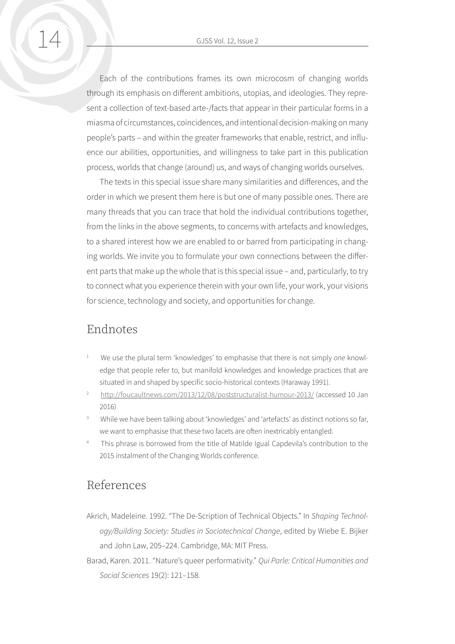Each of the contributions frames its own microcosm of changing worlds through its emphasis on different ambitions, utopias, and ideologies. They represent a collection of text-based arte-/facts that appear in their particular forms in a miasma of circumstances, coincidences, and intentional decision-making on many people's parts – and within the greater frameworks that enable, restrict, and influence our abilities, opportunities, and willingness to take part in this publication process, worlds that change (around) us, and ways of changing worlds ourselves.

The texts in this special issue share many similarities and differences, and the order in which we present them here is but one of many possible ones. There are many threads that you can trace that hold the individual contributions together, from the links in the above segments, to concerns with artefacts and knowledges, to a shared interest how we are enabled to or barred from participating in changing worlds. We invite you to formulate your own connections between the different parts that make up the whole that is this special issue – and, particularly, to try to connect what you experience therein with your own life, your work, your visions for science, technology and society, and opportunities for change.

## Endnotes

- <sup>1</sup> We use the plural term 'knowledges' to emphasise that there is not simply *one* knowledge that people refer to, but manifold knowledges and knowledge practices that are situated in and shaped by specific socio-historical contexts (Haraway 1991).
- <sup>2</sup> <http://foucaultnews.com/2013/12/08/poststructuralist-humour-2013/>(accessed 10 Jan 2016)
- While we have been talking about 'knowledges' and 'artefacts' as distinct notions so far, we want to emphasise that these two facets are often inextricably entangled.
- This phrase is borrowed from the title of Matilde Igual Capdevila's contribution to the 2015 instalment of the Changing Worlds conference.

## References

- Akrich, Madeleine. 1992. "The De-Scription of Technical Objects." In *Shaping Technology/Building Society: Studies in Sociotechnical Change*, edited by Wiebe E. Bijker and John Law, 205–224. Cambridge, MA: MIT Press.
- Barad, Karen. 2011. "Nature's queer performativity." *Qui Parle: Critical Humanities and Social Sciences* 19(2): 121–158.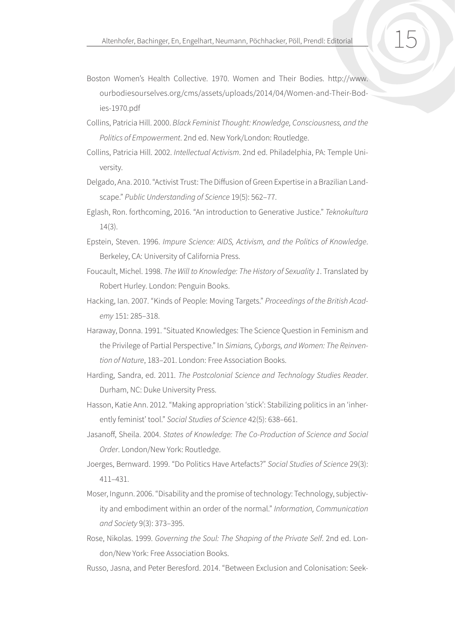- Boston Women's Health Collective. 1970. Women and Their Bodies. http://www. ourbodiesourselves.org/cms/assets/uploads/2014/04/Women-and-Their-Bodies-1970.pdf
- Collins, Patricia Hill. 2000. *Black Feminist Thought: Knowledge, Consciousness, and the Politics of Empowerment*. 2nd ed. New York/London: Routledge.
- Collins, Patricia Hill. 2002. *Intellectual Activism*. 2nd ed. Philadelphia, PA: Temple University.
- Delgado, Ana. 2010. "Activist Trust: The Diffusion of Green Expertise in a Brazilian Landscape." *Public Understanding of Science* 19(5): 562–77.
- Eglash, Ron. forthcoming, 2016. "An introduction to Generative Justice." *Teknokultura* 14(3).
- Epstein, Steven. 1996. *Impure Science: AIDS, Activism, and the Politics of Knowledge*. Berkeley, CA: University of California Press.
- Foucault, Michel. 1998. *The Will to Knowledge: The History of Sexuality 1*. Translated by Robert Hurley. London: Penguin Books.
- Hacking, Ian. 2007. "Kinds of People: Moving Targets." *Proceedings of the British Academy* 151: 285–318.
- Haraway, Donna. 1991. "Situated Knowledges: The Science Question in Feminism and the Privilege of Partial Perspective." In *Simians, Cyborgs, and Women: The Reinvention of Nature*, 183–201. London: Free Association Books.
- Harding, Sandra, ed. 2011. *The Postcolonial Science and Technology Studies Reader*. Durham, NC: Duke University Press.
- Hasson, Katie Ann. 2012. "Making appropriation 'stick': Stabilizing politics in an 'inherently feminist' tool." *Social Studies of Science* 42(5): 638–661.
- Jasanoff, Sheila. 2004. *States of Knowledge: The Co-Production of Science and Social Order*. London/New York: Routledge.
- Joerges, Bernward. 1999. "Do Politics Have Artefacts?" *Social Studies of Science* 29(3): 411–431.
- Moser, Ingunn. 2006. "Disability and the promise of technology: Technology, subjectivity and embodiment within an order of the normal." *Information, Communication and Society* 9(3): 373–395.
- Rose, Nikolas. 1999. *Governing the Soul: The Shaping of the Private Self*. 2nd ed. London/New York: Free Association Books.
- Russo, Jasna, and Peter Beresford. 2014. "Between Exclusion and Colonisation: Seek-